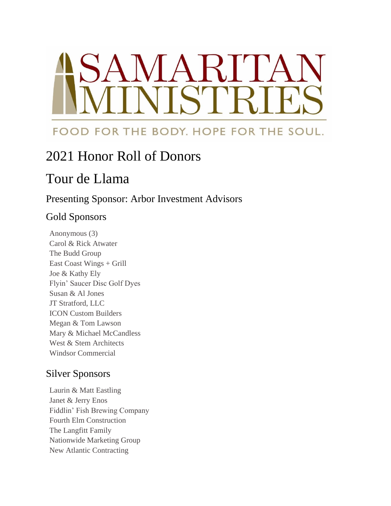# SAMARITA TCr

## FOOD FOR THE BODY. HOPE FOR THE SOUL.

## 2021 Honor Roll of Donors

## Tour de Llama

#### Presenting Sponsor: Arbor Investment Advisors

### Gold Sponsors

Anonymous (3) Carol & Rick Atwater The Budd Group East Coast Wings + Grill Joe & Kathy Ely Flyin' Saucer Disc Golf Dyes Susan & Al Jones JT Stratford, LLC ICON Custom Builders Megan & Tom Lawson Mary & Michael McCandless West & Stem Architects Windsor Commercial

#### Silver Sponsors

Laurin & Matt Eastling Janet & Jerry Enos Fiddlin' Fish Brewing Company Fourth Elm Construction The Langfitt Family Nationwide Marketing Group New Atlantic Contracting